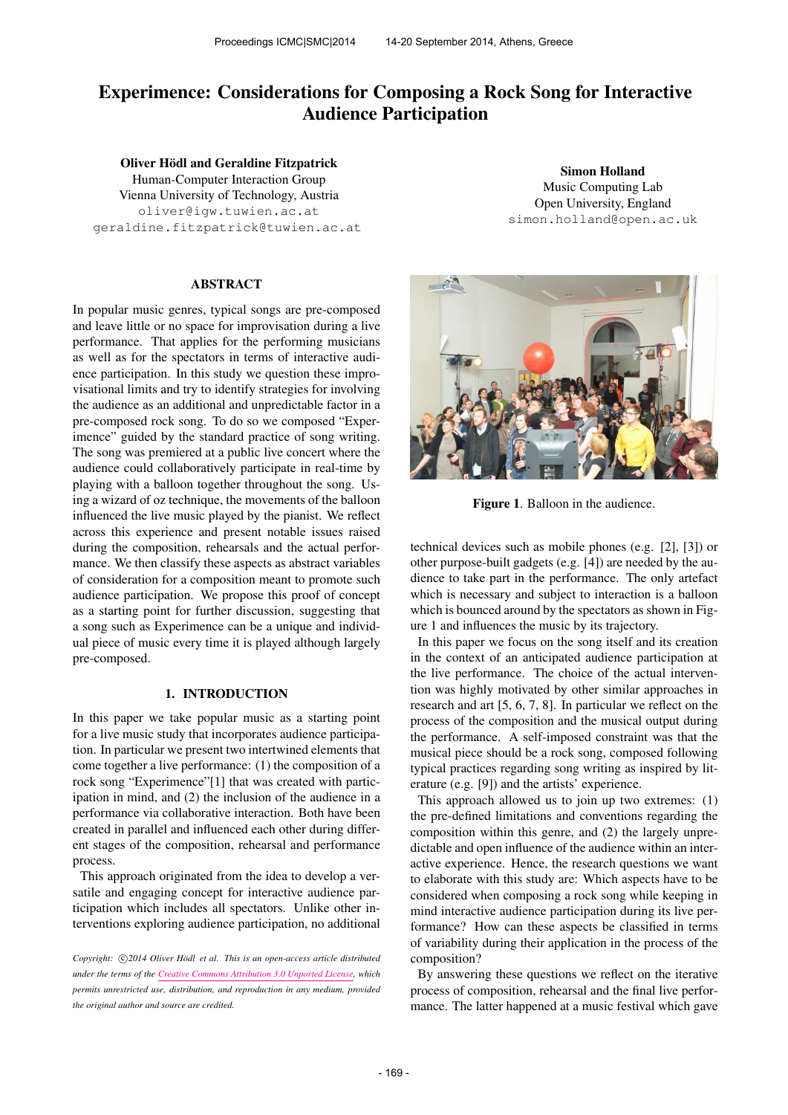# Experimence: Considerations for Composing a Rock Song for Interactive Audience Participation

Oliver Hödl and Geraldine Fitzpatrick Human-Computer Interaction Group Vienna University of Technology, Austria [oliver@igw.tuwien.ac.at](mailto:oliver@igw.tuwien.ac.at) [geraldine.fitzpatrick@tuwien.ac.at](mailto:geraldine.fitzpatrick@tuwien.ac.at)

# ABSTRACT

In popular music genres, typical songs are pre-composed and leave little or no space for improvisation during a live performance. That applies for the performing musicians as well as for the spectators in terms of interactive audience participation. In this study we question these improvisational limits and try to identify strategies for involving the audience as an additional and unpredictable factor in a pre-composed rock song. To do so we composed "Experimence" guided by the standard practice of song writing. The song was premiered at a public live concert where the audience could collaboratively participate in real-time by playing with a balloon together throughout the song. Using a wizard of oz technique, the movements of the balloon influenced the live music played by the pianist. We reflect across this experience and present notable issues raised during the composition, rehearsals and the actual performance. We then classify these aspects as abstract variables of consideration for a composition meant to promote such audience participation. We propose this proof of concept as a starting point for further discussion, suggesting that a song such as Experimence can be a unique and individual piece of music every time it is played although largely pre-composed.

## 1. INTRODUCTION

In this paper we take popular music as a starting point for a live music study that incorporates audience participation. In particular we present two intertwined elements that come together a live performance: (1) the composition of a rock song "Experimence"[1] that was created with participation in mind, and (2) the inclusion of the audience in a performance via collaborative interaction. Both have been created in parallel and influenced each other during different stages of the composition, rehearsal and performance process.

This approach originated from the idea to develop a versatile and engaging concept for interactive audience participation which includes all spectators. Unlike other interventions exploring audience participation, no additional

Copyright:  $\bigcirc$ 2014 Oliver Hödl et al. This is an open-access article distributed *under the terms of the [Creative Commons Attribution 3.0 Unported License,](http://creativecommons.org/licenses/by/3.0/) which permits unrestricted use, distribution, and reproduction in any medium, provided the original author and source are credited.*

Simon Holland Music Computing Lab Open University, England [simon.holland@open.ac.uk](mailto:simon.holland@open.ac.uk)



Figure 1. Balloon in the audience.

technical devices such as mobile phones (e.g. [2], [3]) or other purpose-built gadgets (e.g. [4]) are needed by the audience to take part in the performance. The only artefact which is necessary and subject to interaction is a balloon which is bounced around by the spectators as shown in Figure 1 and influences the music by its trajectory.

In this paper we focus on the song itself and its creation in the context of an anticipated audience participation at the live performance. The choice of the actual intervention was highly motivated by other similar approaches in research and art [5, 6, 7, 8]. In particular we reflect on the process of the composition and the musical output during the performance. A self-imposed constraint was that the musical piece should be a rock song, composed following typical practices regarding song writing as inspired by literature (e.g. [9]) and the artists' experience.

This approach allowed us to join up two extremes: (1) the pre-defined limitations and conventions regarding the composition within this genre, and (2) the largely unpredictable and open influence of the audience within an interactive experience. Hence, the research questions we want to elaborate with this study are: Which aspects have to be considered when composing a rock song while keeping in mind interactive audience participation during its live performance? How can these aspects be classified in terms of variability during their application in the process of the composition?

By answering these questions we reflect on the iterative process of composition, rehearsal and the final live performance. The latter happened at a music festival which gave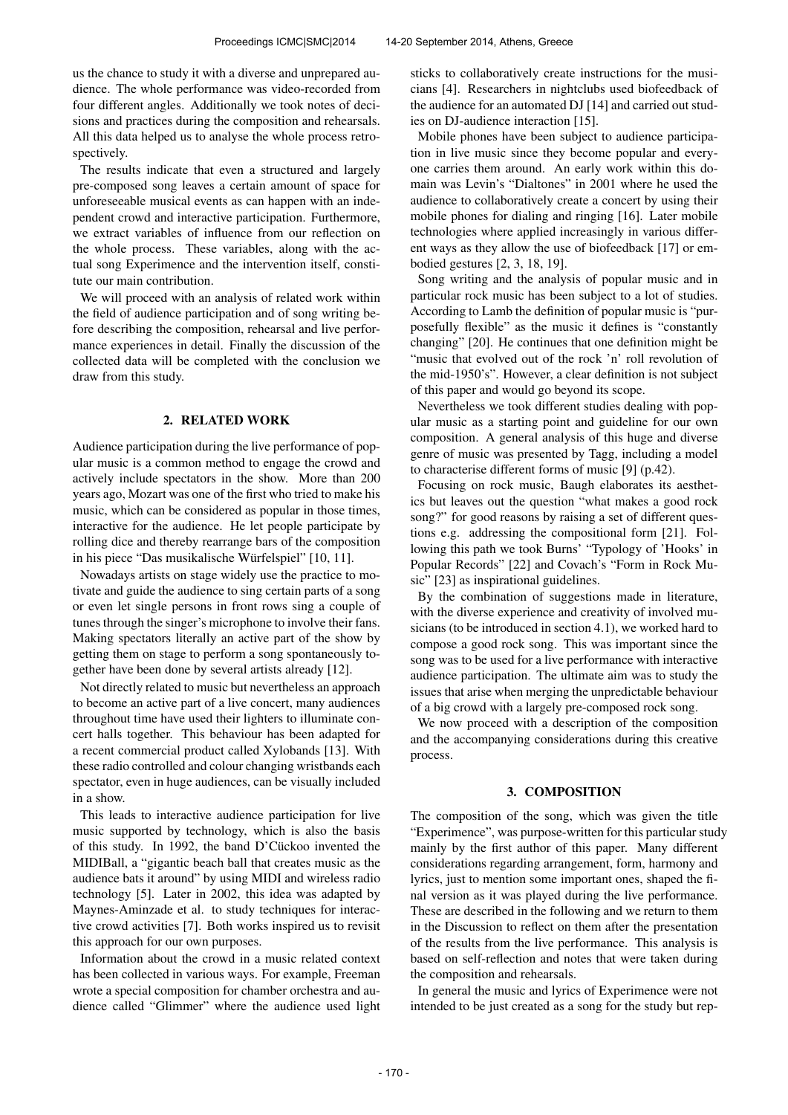us the chance to study it with a diverse and unprepared audience. The whole performance was video-recorded from four different angles. Additionally we took notes of decisions and practices during the composition and rehearsals. All this data helped us to analyse the whole process retrospectively.

The results indicate that even a structured and largely pre-composed song leaves a certain amount of space for unforeseeable musical events as can happen with an independent crowd and interactive participation. Furthermore, we extract variables of influence from our reflection on the whole process. These variables, along with the actual song Experimence and the intervention itself, constitute our main contribution.

We will proceed with an analysis of related work within the field of audience participation and of song writing before describing the composition, rehearsal and live performance experiences in detail. Finally the discussion of the collected data will be completed with the conclusion we draw from this study.

## 2. RELATED WORK

Audience participation during the live performance of popular music is a common method to engage the crowd and actively include spectators in the show. More than 200 years ago, Mozart was one of the first who tried to make his music, which can be considered as popular in those times, interactive for the audience. He let people participate by rolling dice and thereby rearrange bars of the composition in his piece "Das musikalische Würfelspiel" [10, 11].

Nowadays artists on stage widely use the practice to motivate and guide the audience to sing certain parts of a song or even let single persons in front rows sing a couple of tunes through the singer's microphone to involve their fans. Making spectators literally an active part of the show by getting them on stage to perform a song spontaneously together have been done by several artists already [12].

Not directly related to music but nevertheless an approach to become an active part of a live concert, many audiences throughout time have used their lighters to illuminate concert halls together. This behaviour has been adapted for a recent commercial product called Xylobands [13]. With these radio controlled and colour changing wristbands each spectator, even in huge audiences, can be visually included in a show.

This leads to interactive audience participation for live music supported by technology, which is also the basis of this study. In 1992, the band D'Cückoo invented the MIDIBall, a "gigantic beach ball that creates music as the audience bats it around" by using MIDI and wireless radio technology [5]. Later in 2002, this idea was adapted by Maynes-Aminzade et al. to study techniques for interactive crowd activities [7]. Both works inspired us to revisit this approach for our own purposes.

Information about the crowd in a music related context has been collected in various ways. For example, Freeman wrote a special composition for chamber orchestra and audience called "Glimmer" where the audience used light sticks to collaboratively create instructions for the musicians [4]. Researchers in nightclubs used biofeedback of the audience for an automated DJ [14] and carried out studies on DJ-audience interaction [15].

Mobile phones have been subject to audience participation in live music since they become popular and everyone carries them around. An early work within this domain was Levin's "Dialtones" in 2001 where he used the audience to collaboratively create a concert by using their mobile phones for dialing and ringing [16]. Later mobile technologies where applied increasingly in various different ways as they allow the use of biofeedback [17] or embodied gestures [2, 3, 18, 19].

Song writing and the analysis of popular music and in particular rock music has been subject to a lot of studies. According to Lamb the definition of popular music is "purposefully flexible" as the music it defines is "constantly changing" [20]. He continues that one definition might be "music that evolved out of the rock 'n' roll revolution of the mid-1950's". However, a clear definition is not subject of this paper and would go beyond its scope.

Nevertheless we took different studies dealing with popular music as a starting point and guideline for our own composition. A general analysis of this huge and diverse genre of music was presented by Tagg, including a model to characterise different forms of music [9] (p.42).

Focusing on rock music, Baugh elaborates its aesthetics but leaves out the question "what makes a good rock song?" for good reasons by raising a set of different questions e.g. addressing the compositional form [21]. Following this path we took Burns' "Typology of 'Hooks' in Popular Records" [22] and Covach's "Form in Rock Music" [23] as inspirational guidelines.

By the combination of suggestions made in literature, with the diverse experience and creativity of involved musicians (to be introduced in section 4.1), we worked hard to compose a good rock song. This was important since the song was to be used for a live performance with interactive audience participation. The ultimate aim was to study the issues that arise when merging the unpredictable behaviour of a big crowd with a largely pre-composed rock song.

We now proceed with a description of the composition and the accompanying considerations during this creative process.

#### 3. COMPOSITION

The composition of the song, which was given the title "Experimence", was purpose-written for this particular study mainly by the first author of this paper. Many different considerations regarding arrangement, form, harmony and lyrics, just to mention some important ones, shaped the final version as it was played during the live performance. These are described in the following and we return to them in the Discussion to reflect on them after the presentation of the results from the live performance. This analysis is based on self-reflection and notes that were taken during the composition and rehearsals.

In general the music and lyrics of Experimence were not intended to be just created as a song for the study but rep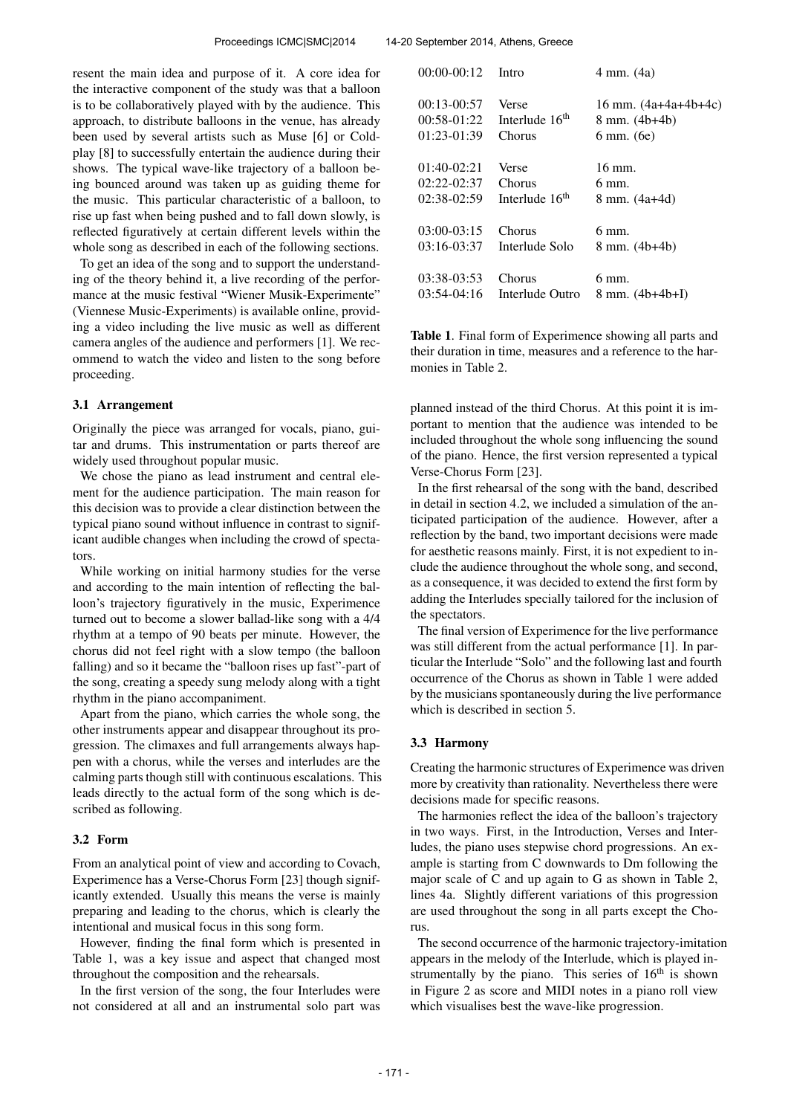resent the main idea and purpose of it. A core idea for the interactive component of the study was that a balloon is to be collaboratively played with by the audience. This approach, to distribute balloons in the venue, has already been used by several artists such as Muse [6] or Coldplay [8] to successfully entertain the audience during their shows. The typical wave-like trajectory of a balloon being bounced around was taken up as guiding theme for the music. This particular characteristic of a balloon, to rise up fast when being pushed and to fall down slowly, is reflected figuratively at certain different levels within the whole song as described in each of the following sections.

To get an idea of the song and to support the understanding of the theory behind it, a live recording of the performance at the music festival "Wiener Musik-Experimente" (Viennese Music-Experiments) is available online, providing a video including the live music as well as different camera angles of the audience and performers [1]. We recommend to watch the video and listen to the song before proceeding.

#### 3.1 Arrangement

Originally the piece was arranged for vocals, piano, guitar and drums. This instrumentation or parts thereof are widely used throughout popular music.

We chose the piano as lead instrument and central element for the audience participation. The main reason for this decision was to provide a clear distinction between the typical piano sound without influence in contrast to significant audible changes when including the crowd of spectators.

While working on initial harmony studies for the verse and according to the main intention of reflecting the balloon's trajectory figuratively in the music, Experimence turned out to become a slower ballad-like song with a 4/4 rhythm at a tempo of 90 beats per minute. However, the chorus did not feel right with a slow tempo (the balloon falling) and so it became the "balloon rises up fast"-part of the song, creating a speedy sung melody along with a tight rhythm in the piano accompaniment.

Apart from the piano, which carries the whole song, the other instruments appear and disappear throughout its progression. The climaxes and full arrangements always happen with a chorus, while the verses and interludes are the calming parts though still with continuous escalations. This leads directly to the actual form of the song which is described as following.

## 3.2 Form

From an analytical point of view and according to Covach, Experimence has a Verse-Chorus Form [23] though significantly extended. Usually this means the verse is mainly preparing and leading to the chorus, which is clearly the intentional and musical focus in this song form.

However, finding the final form which is presented in Table 1, was a key issue and aspect that changed most throughout the composition and the rehearsals.

In the first version of the song, the four Interludes were not considered at all and an instrumental solo part was

| $00:00-00:12$ | Intro                      | 4 mm. (4a)                 |
|---------------|----------------------------|----------------------------|
| $00:13-00:57$ | Verse                      | 16 mm. $(4a+4a+4b+4c)$     |
| $00:58-01:22$ | Interlude 16 <sup>th</sup> | $8 \text{ mm}$ . (4b+4b)   |
| $01:23-01:39$ | Chorus                     | 6 mm. (6e)                 |
| $01:40-02:21$ | Verse                      | 16 mm.                     |
| $02:22-02:37$ | Chorus                     | 6 mm.                      |
| $02:38-02:59$ | Interlude 16 <sup>th</sup> | 8 mm. (4a+4d)              |
| $03:00-03:15$ | Chorus                     | 6 mm.                      |
| $03:16-03:37$ | Interlude Solo             | $8 \text{ mm}$ . (4b+4b)   |
| 03:38-03:53   | Chorus                     | 6 mm.                      |
| $03:54-04:16$ | Interlude Outro            | $8 \text{ mm}$ . (4b+4b+I) |

Table 1. Final form of Experimence showing all parts and their duration in time, measures and a reference to the harmonies in Table 2.

planned instead of the third Chorus. At this point it is important to mention that the audience was intended to be included throughout the whole song influencing the sound of the piano. Hence, the first version represented a typical Verse-Chorus Form [23].

In the first rehearsal of the song with the band, described in detail in section 4.2, we included a simulation of the anticipated participation of the audience. However, after a reflection by the band, two important decisions were made for aesthetic reasons mainly. First, it is not expedient to include the audience throughout the whole song, and second, as a consequence, it was decided to extend the first form by adding the Interludes specially tailored for the inclusion of the spectators.

The final version of Experimence for the live performance was still different from the actual performance [1]. In particular the Interlude "Solo" and the following last and fourth occurrence of the Chorus as shown in Table 1 were added by the musicians spontaneously during the live performance which is described in section 5.

#### 3.3 Harmony

Creating the harmonic structures of Experimence was driven more by creativity than rationality. Nevertheless there were decisions made for specific reasons.

The harmonies reflect the idea of the balloon's trajectory in two ways. First, in the Introduction, Verses and Interludes, the piano uses stepwise chord progressions. An example is starting from C downwards to Dm following the major scale of C and up again to G as shown in Table 2, lines 4a. Slightly different variations of this progression are used throughout the song in all parts except the Chorus.

The second occurrence of the harmonic trajectory-imitation appears in the melody of the Interlude, which is played instrumentally by the piano. This series of  $16<sup>th</sup>$  is shown in Figure 2 as score and MIDI notes in a piano roll view which visualises best the wave-like progression.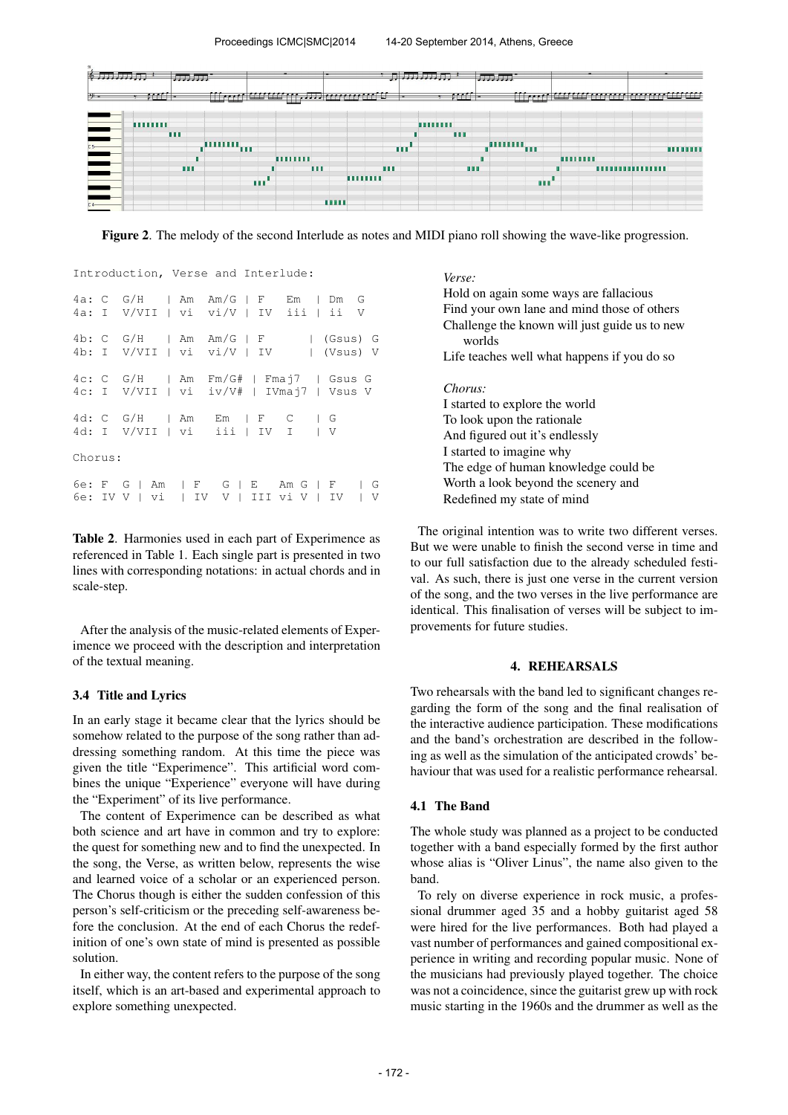

Figure 2. The melody of the second Interlude as notes and MIDI piano roll showing the wave-like progression.

|         |  | Introduction, Verse and Interlude:                                                |  |  |  |  |  |  |  |  |  |  |
|---------|--|-----------------------------------------------------------------------------------|--|--|--|--|--|--|--|--|--|--|
|         |  | $4a: C G/H$   Am Am/G   F Em   Dm G<br>4a: I V/VII   vi vi/V   IV iii   ii V      |  |  |  |  |  |  |  |  |  |  |
|         |  | 4b: C G/H   Am Am/G   F   (Gsus) G<br>4b: I V/VII   vi vi/V   IV   (Vsus) V       |  |  |  |  |  |  |  |  |  |  |
|         |  | 4c: C G/H   Am Fm/G#   Fmaj7   Gsus G<br>4c: I V/VII   vi iv/V#   IVmaj7   Vsus V |  |  |  |  |  |  |  |  |  |  |
|         |  | $4d: C G/H$   Am Em   F C   G<br>4d: I V/VII   vi iii   IV I   V                  |  |  |  |  |  |  |  |  |  |  |
| Chorus: |  |                                                                                   |  |  |  |  |  |  |  |  |  |  |
|         |  | 6e: F G   Am   F G   E Am G   F   G<br>6e: IV V   vi   IV V   III vi V   IV   V   |  |  |  |  |  |  |  |  |  |  |

Table 2. Harmonies used in each part of Experimence as referenced in Table 1. Each single part is presented in two lines with corresponding notations: in actual chords and in scale-step.

After the analysis of the music-related elements of Experimence we proceed with the description and interpretation of the textual meaning.

# 3.4 Title and Lyrics

In an early stage it became clear that the lyrics should be somehow related to the purpose of the song rather than addressing something random. At this time the piece was given the title "Experimence". This artificial word combines the unique "Experience" everyone will have during the "Experiment" of its live performance.

The content of Experimence can be described as what both science and art have in common and try to explore: the quest for something new and to find the unexpected. In the song, the Verse, as written below, represents the wise and learned voice of a scholar or an experienced person. The Chorus though is either the sudden confession of this person's self-criticism or the preceding self-awareness before the conclusion. At the end of each Chorus the redefinition of one's own state of mind is presented as possible solution.

In either way, the content refers to the purpose of the song itself, which is an art-based and experimental approach to explore something unexpected.

*Verse:*

The original intention was to write two different verses. But we were unable to finish the second verse in time and to our full satisfaction due to the already scheduled festival. As such, there is just one verse in the current version of the song, and the two verses in the live performance are identical. This finalisation of verses will be subject to improvements for future studies.

## 4. REHEARSALS

Two rehearsals with the band led to significant changes regarding the form of the song and the final realisation of the interactive audience participation. These modifications and the band's orchestration are described in the following as well as the simulation of the anticipated crowds' behaviour that was used for a realistic performance rehearsal.

## 4.1 The Band

The whole study was planned as a project to be conducted together with a band especially formed by the first author whose alias is "Oliver Linus", the name also given to the band.

To rely on diverse experience in rock music, a professional drummer aged 35 and a hobby guitarist aged 58 were hired for the live performances. Both had played a vast number of performances and gained compositional experience in writing and recording popular music. None of the musicians had previously played together. The choice was not a coincidence, since the guitarist grew up with rock music starting in the 1960s and the drummer as well as the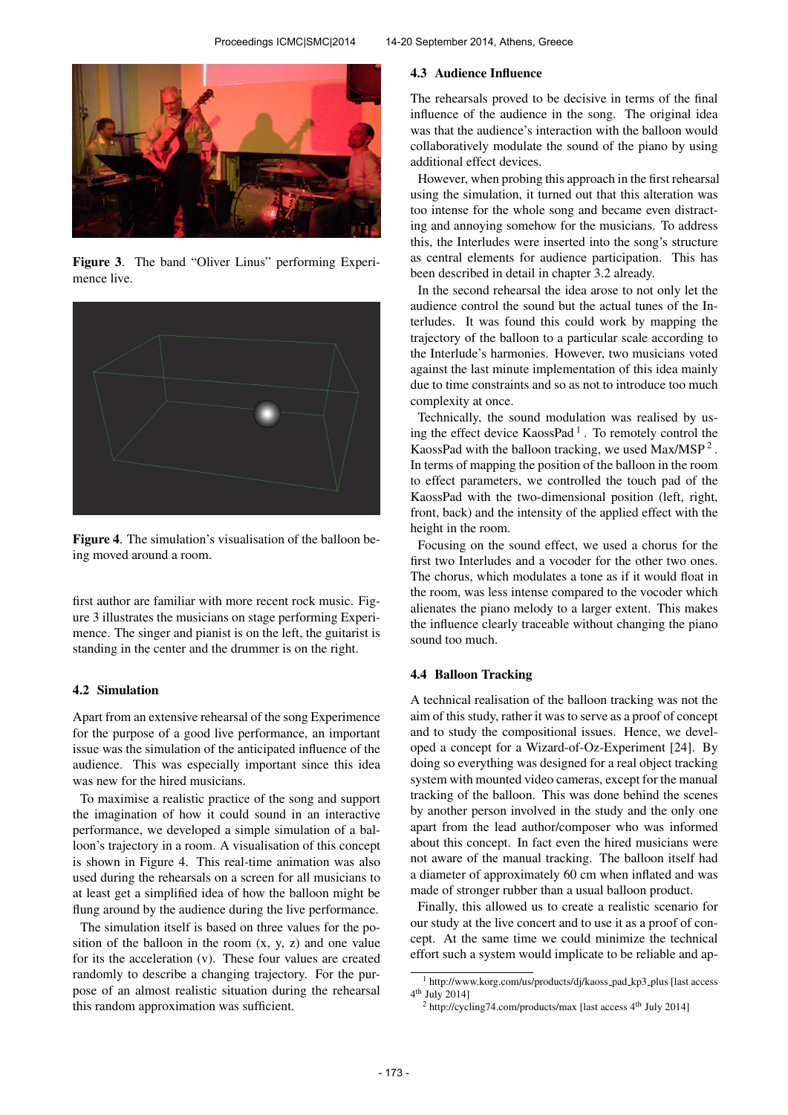

Figure 3. The band "Oliver Linus" performing Experimence live.



Figure 4. The simulation's visualisation of the balloon being moved around a room.

first author are familiar with more recent rock music. Figure 3 illustrates the musicians on stage performing Experimence. The singer and pianist is on the left, the guitarist is standing in the center and the drummer is on the right.

## 4.2 Simulation

Apart from an extensive rehearsal of the song Experimence for the purpose of a good live performance, an important issue was the simulation of the anticipated influence of the audience. This was especially important since this idea was new for the hired musicians.

To maximise a realistic practice of the song and support the imagination of how it could sound in an interactive performance, we developed a simple simulation of a balloon's trajectory in a room. A visualisation of this concept is shown in Figure 4. This real-time animation was also used during the rehearsals on a screen for all musicians to at least get a simplified idea of how the balloon might be flung around by the audience during the live performance.

The simulation itself is based on three values for the position of the balloon in the room  $(x, y, z)$  and one value for its the acceleration (v). These four values are created randomly to describe a changing trajectory. For the purpose of an almost realistic situation during the rehearsal this random approximation was sufficient.

#### 4.3 Audience Influence

The rehearsals proved to be decisive in terms of the final influence of the audience in the song. The original idea was that the audience's interaction with the balloon would collaboratively modulate the sound of the piano by using additional effect devices.

However, when probing this approach in the first rehearsal using the simulation, it turned out that this alteration was too intense for the whole song and became even distracting and annoying somehow for the musicians. To address this, the Interludes were inserted into the song's structure as central elements for audience participation. This has been described in detail in chapter 3.2 already.

In the second rehearsal the idea arose to not only let the audience control the sound but the actual tunes of the Interludes. It was found this could work by mapping the trajectory of the balloon to a particular scale according to the Interlude's harmonies. However, two musicians voted against the last minute implementation of this idea mainly due to time constraints and so as not to introduce too much complexity at once.

Technically, the sound modulation was realised by using the effect device  $KaossPad<sup>1</sup>$ . To remotely control the KaossPad with the balloon tracking, we used  $Max/MSP<sup>2</sup>$ . In terms of mapping the position of the balloon in the room to effect parameters, we controlled the touch pad of the KaossPad with the two-dimensional position (left, right, front, back) and the intensity of the applied effect with the height in the room.

Focusing on the sound effect, we used a chorus for the first two Interludes and a vocoder for the other two ones. The chorus, which modulates a tone as if it would float in the room, was less intense compared to the vocoder which alienates the piano melody to a larger extent. This makes the influence clearly traceable without changing the piano sound too much.

# 4.4 Balloon Tracking

A technical realisation of the balloon tracking was not the aim of this study, rather it was to serve as a proof of concept and to study the compositional issues. Hence, we developed a concept for a Wizard-of-Oz-Experiment [24]. By doing so everything was designed for a real object tracking system with mounted video cameras, except for the manual tracking of the balloon. This was done behind the scenes by another person involved in the study and the only one apart from the lead author/composer who was informed about this concept. In fact even the hired musicians were not aware of the manual tracking. The balloon itself had a diameter of approximately 60 cm when inflated and was made of stronger rubber than a usual balloon product.

Finally, this allowed us to create a realistic scenario for our study at the live concert and to use it as a proof of concept. At the same time we could minimize the technical effort such a system would implicate to be reliable and ap-

<sup>&</sup>lt;sup>1</sup> http://www.korg.com/us/products/dj/kaoss\_pad\_kp3\_plus [last access 4 th July 2014]

 $2$  http://cycling74.com/products/max [last access  $4<sup>th</sup>$  July 2014]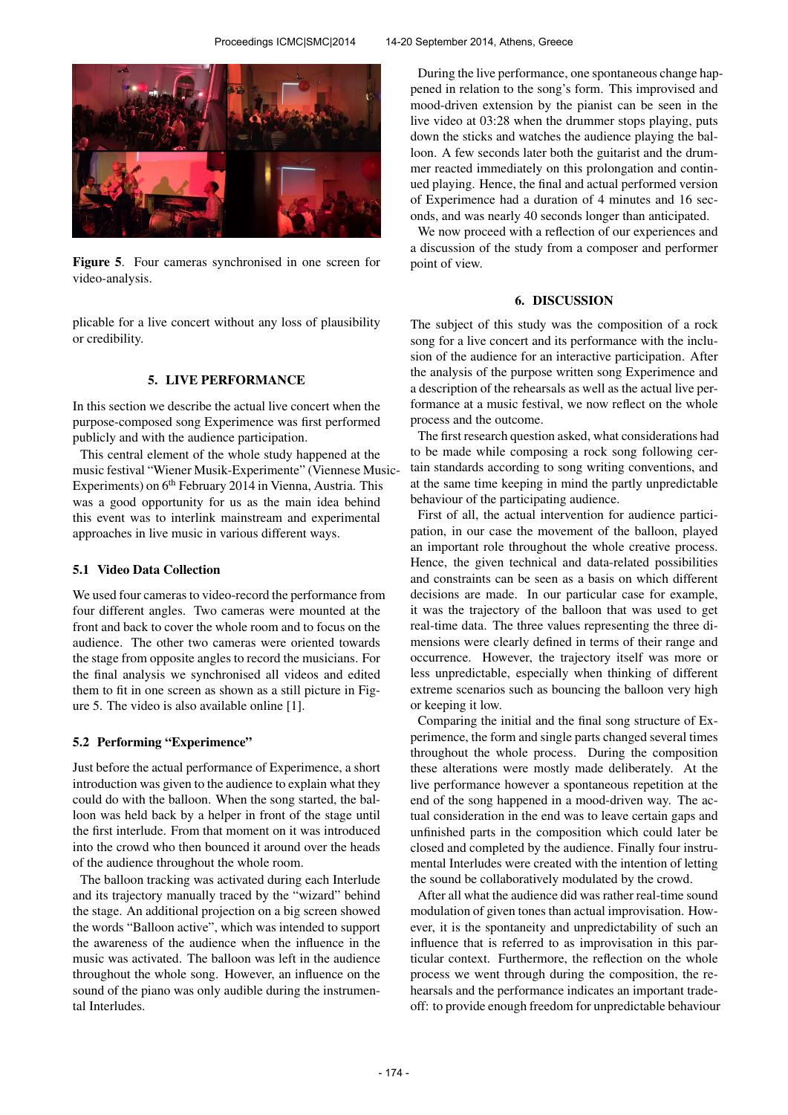

Figure 5. Four cameras synchronised in one screen for video-analysis.

plicable for a live concert without any loss of plausibility or credibility.

## 5. LIVE PERFORMANCE

In this section we describe the actual live concert when the purpose-composed song Experimence was first performed publicly and with the audience participation.

This central element of the whole study happened at the music festival "Wiener Musik-Experimente" (Viennese Music-Experiments) on  $6<sup>th</sup>$  February 2014 in Vienna, Austria. This was a good opportunity for us as the main idea behind this event was to interlink mainstream and experimental approaches in live music in various different ways.

#### 5.1 Video Data Collection

We used four cameras to video-record the performance from four different angles. Two cameras were mounted at the front and back to cover the whole room and to focus on the audience. The other two cameras were oriented towards the stage from opposite angles to record the musicians. For the final analysis we synchronised all videos and edited them to fit in one screen as shown as a still picture in Figure 5. The video is also available online [1].

#### 5.2 Performing "Experimence"

Just before the actual performance of Experimence, a short introduction was given to the audience to explain what they could do with the balloon. When the song started, the balloon was held back by a helper in front of the stage until the first interlude. From that moment on it was introduced into the crowd who then bounced it around over the heads of the audience throughout the whole room.

The balloon tracking was activated during each Interlude and its trajectory manually traced by the "wizard" behind the stage. An additional projection on a big screen showed the words "Balloon active", which was intended to support the awareness of the audience when the influence in the music was activated. The balloon was left in the audience throughout the whole song. However, an influence on the sound of the piano was only audible during the instrumental Interludes.

During the live performance, one spontaneous change happened in relation to the song's form. This improvised and mood-driven extension by the pianist can be seen in the live video at 03:28 when the drummer stops playing, puts down the sticks and watches the audience playing the balloon. A few seconds later both the guitarist and the drummer reacted immediately on this prolongation and continued playing. Hence, the final and actual performed version of Experimence had a duration of 4 minutes and 16 seconds, and was nearly 40 seconds longer than anticipated.

We now proceed with a reflection of our experiences and a discussion of the study from a composer and performer point of view.

## 6. DISCUSSION

The subject of this study was the composition of a rock song for a live concert and its performance with the inclusion of the audience for an interactive participation. After the analysis of the purpose written song Experimence and a description of the rehearsals as well as the actual live performance at a music festival, we now reflect on the whole process and the outcome.

The first research question asked, what considerations had to be made while composing a rock song following certain standards according to song writing conventions, and at the same time keeping in mind the partly unpredictable behaviour of the participating audience.

First of all, the actual intervention for audience participation, in our case the movement of the balloon, played an important role throughout the whole creative process. Hence, the given technical and data-related possibilities and constraints can be seen as a basis on which different decisions are made. In our particular case for example, it was the trajectory of the balloon that was used to get real-time data. The three values representing the three dimensions were clearly defined in terms of their range and occurrence. However, the trajectory itself was more or less unpredictable, especially when thinking of different extreme scenarios such as bouncing the balloon very high or keeping it low.

Comparing the initial and the final song structure of Experimence, the form and single parts changed several times throughout the whole process. During the composition these alterations were mostly made deliberately. At the live performance however a spontaneous repetition at the end of the song happened in a mood-driven way. The actual consideration in the end was to leave certain gaps and unfinished parts in the composition which could later be closed and completed by the audience. Finally four instrumental Interludes were created with the intention of letting the sound be collaboratively modulated by the crowd.

After all what the audience did was rather real-time sound modulation of given tones than actual improvisation. However, it is the spontaneity and unpredictability of such an influence that is referred to as improvisation in this particular context. Furthermore, the reflection on the whole process we went through during the composition, the rehearsals and the performance indicates an important tradeoff: to provide enough freedom for unpredictable behaviour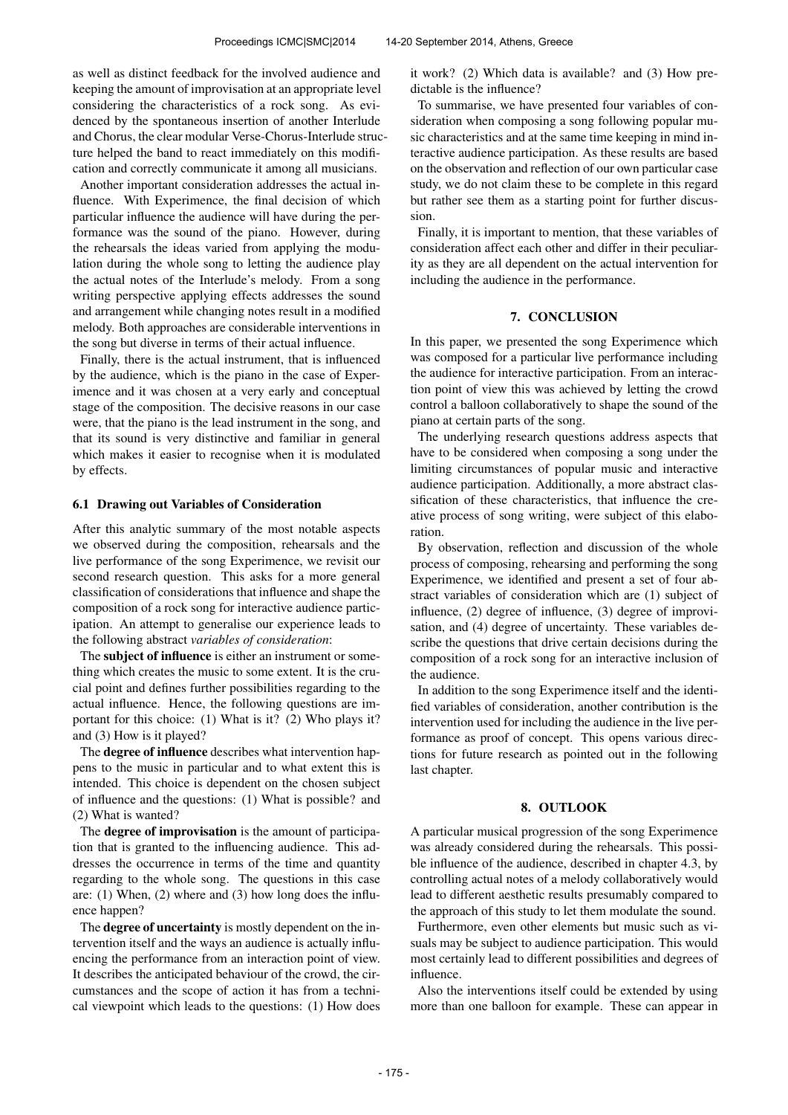as well as distinct feedback for the involved audience and keeping the amount of improvisation at an appropriate level considering the characteristics of a rock song. As evidenced by the spontaneous insertion of another Interlude and Chorus, the clear modular Verse-Chorus-Interlude structure helped the band to react immediately on this modification and correctly communicate it among all musicians.

Another important consideration addresses the actual influence. With Experimence, the final decision of which particular influence the audience will have during the performance was the sound of the piano. However, during the rehearsals the ideas varied from applying the modulation during the whole song to letting the audience play the actual notes of the Interlude's melody. From a song writing perspective applying effects addresses the sound and arrangement while changing notes result in a modified melody. Both approaches are considerable interventions in the song but diverse in terms of their actual influence.

Finally, there is the actual instrument, that is influenced by the audience, which is the piano in the case of Experimence and it was chosen at a very early and conceptual stage of the composition. The decisive reasons in our case were, that the piano is the lead instrument in the song, and that its sound is very distinctive and familiar in general which makes it easier to recognise when it is modulated by effects.

#### 6.1 Drawing out Variables of Consideration

After this analytic summary of the most notable aspects we observed during the composition, rehearsals and the live performance of the song Experimence, we revisit our second research question. This asks for a more general classification of considerations that influence and shape the composition of a rock song for interactive audience participation. An attempt to generalise our experience leads to the following abstract *variables of consideration*:

The subject of influence is either an instrument or something which creates the music to some extent. It is the crucial point and defines further possibilities regarding to the actual influence. Hence, the following questions are important for this choice: (1) What is it? (2) Who plays it? and (3) How is it played?

The degree of influence describes what intervention happens to the music in particular and to what extent this is intended. This choice is dependent on the chosen subject of influence and the questions: (1) What is possible? and (2) What is wanted?

The degree of improvisation is the amount of participation that is granted to the influencing audience. This addresses the occurrence in terms of the time and quantity regarding to the whole song. The questions in this case are: (1) When, (2) where and (3) how long does the influence happen?

The degree of uncertainty is mostly dependent on the intervention itself and the ways an audience is actually influencing the performance from an interaction point of view. It describes the anticipated behaviour of the crowd, the circumstances and the scope of action it has from a technical viewpoint which leads to the questions: (1) How does it work? (2) Which data is available? and (3) How predictable is the influence?

To summarise, we have presented four variables of consideration when composing a song following popular music characteristics and at the same time keeping in mind interactive audience participation. As these results are based on the observation and reflection of our own particular case study, we do not claim these to be complete in this regard but rather see them as a starting point for further discussion.

Finally, it is important to mention, that these variables of consideration affect each other and differ in their peculiarity as they are all dependent on the actual intervention for including the audience in the performance.

# 7. CONCLUSION

In this paper, we presented the song Experimence which was composed for a particular live performance including the audience for interactive participation. From an interaction point of view this was achieved by letting the crowd control a balloon collaboratively to shape the sound of the piano at certain parts of the song.

The underlying research questions address aspects that have to be considered when composing a song under the limiting circumstances of popular music and interactive audience participation. Additionally, a more abstract classification of these characteristics, that influence the creative process of song writing, were subject of this elaboration.

By observation, reflection and discussion of the whole process of composing, rehearsing and performing the song Experimence, we identified and present a set of four abstract variables of consideration which are (1) subject of influence, (2) degree of influence, (3) degree of improvisation, and (4) degree of uncertainty. These variables describe the questions that drive certain decisions during the composition of a rock song for an interactive inclusion of the audience.

In addition to the song Experimence itself and the identified variables of consideration, another contribution is the intervention used for including the audience in the live performance as proof of concept. This opens various directions for future research as pointed out in the following last chapter.

## 8. OUTLOOK

A particular musical progression of the song Experimence was already considered during the rehearsals. This possible influence of the audience, described in chapter 4.3, by controlling actual notes of a melody collaboratively would lead to different aesthetic results presumably compared to the approach of this study to let them modulate the sound.

Furthermore, even other elements but music such as visuals may be subject to audience participation. This would most certainly lead to different possibilities and degrees of influence.

Also the interventions itself could be extended by using more than one balloon for example. These can appear in